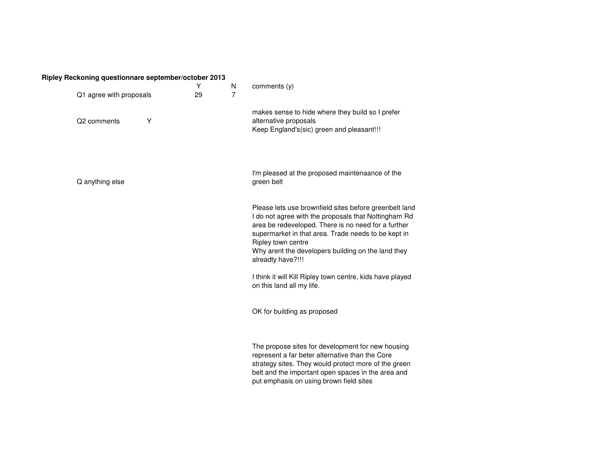## **Ripley Reckoning questionnare september/october 2013**

| Q1 agree with proposals |   | Y<br>29 | N<br>$\overline{7}$ | comments (y)                                                                                                                                                                                                                                                                                                                  |
|-------------------------|---|---------|---------------------|-------------------------------------------------------------------------------------------------------------------------------------------------------------------------------------------------------------------------------------------------------------------------------------------------------------------------------|
| Q2 comments             | Y |         |                     | makes sense to hide where they build so I prefer<br>alternative proposals<br>Keep England's(sic) green and pleasant!!!                                                                                                                                                                                                        |
| Q anything else         |   |         |                     | I'm pleased at the proposed maintenaance of the<br>green belt                                                                                                                                                                                                                                                                 |
|                         |   |         |                     | Please lets use brownfield sites before greenbelt land<br>I do not agree with the proposals that Nottingham Rd<br>area be redeveloped. There is no need for a further<br>supermarket in that area. Trade needs to be kept in<br>Ripley town centre<br>Why arent the developers building on the land they<br>alreadty have?!!! |
|                         |   |         |                     | I think it will Kill Ripley town centre, kids have played<br>on this land all my life.                                                                                                                                                                                                                                        |
|                         |   |         |                     | OK for building as proposed                                                                                                                                                                                                                                                                                                   |
|                         |   |         |                     | The propose sites for development for new housing<br>represent a far beter alternative than the Core<br>strategy sites. They would protect more of the green<br>belt and the important open spaces in the area and<br>put emphasis on using brown field sites                                                                 |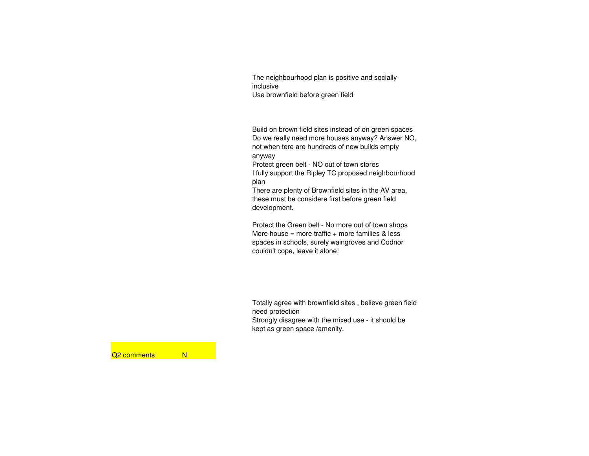The neighbourhood plan is positive and socially inclusiveUse brownfield before green field

Build on brown field sites instead of on green spaces Do we really need more houses anyway? Answer NO, not when tere are hundreds of new builds empty anyway

 Protect green belt - NO out of town stores I fully support the Ripley TC proposed neighbourhood plan

 There are plenty of Brownfield sites in the AV area, these must be considere first before green field development.

Protect the Green belt - No more out of town shopsMore house = more traffic + more families  $&$  less spaces in schools, surely waingroves and Codnor couldn't cope, leave it alone!

Totally agree with brownfield sites , believe green field need protection Strongly disagree with the mixed use - it should bekept as green space /amenity.

Q<sub>2</sub> comments N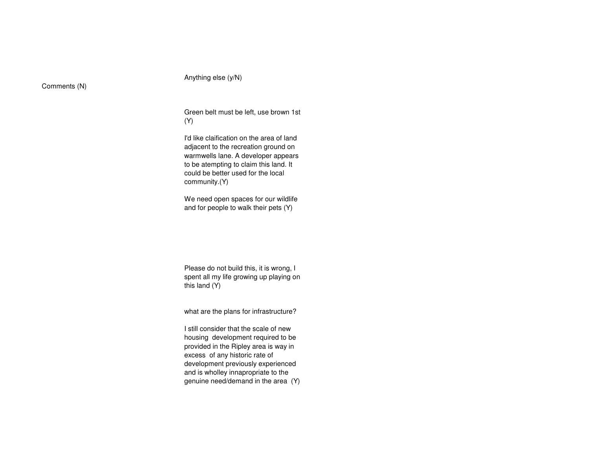Anything else (y/N)

Comments (N)

Green belt must be left, use brown 1st (Y)

I'd like claification on the area of land adjacent to the recreation ground on warmwells lane. A developer appears to be atempting to claim this land. It could be better used for the local community.(Y)

We need open spaces for our wildlife and for people to walk their pets (Y)

Please do not build this, it is wrong, I spent all my life growing up playing on this land (Y)

what are the plans for infrastructure?

I still consider that the scale of new housing development required to be provided in the Ripley area is way in excess of any historic rate of development previously experienced and is wholley innapropriate to the genuine need/demand in the area (Y)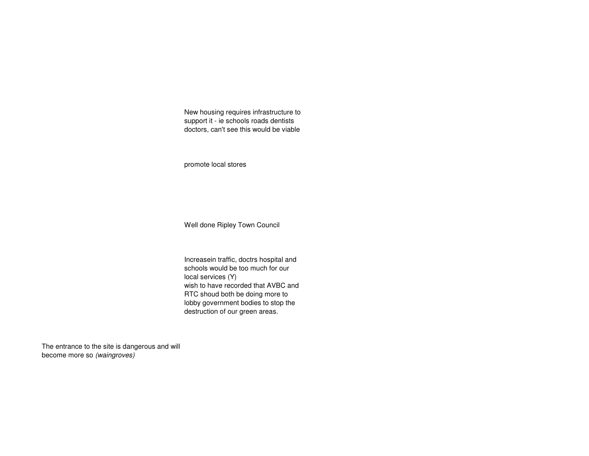New housing requires infrastructure to support it - ie schools roads dentists doctors, can't see this would be viable

promote local stores

Well done Ripley Town Council

Increasein traffic, doctrs hospital and schools would be too much for our local services (Y) wish to have recorded that AVBC and RTC shoud both be doing more to lobby government bodies to stop the destruction of our green areas.

The entrance to the site is dangerous and will become more so (waingroves)